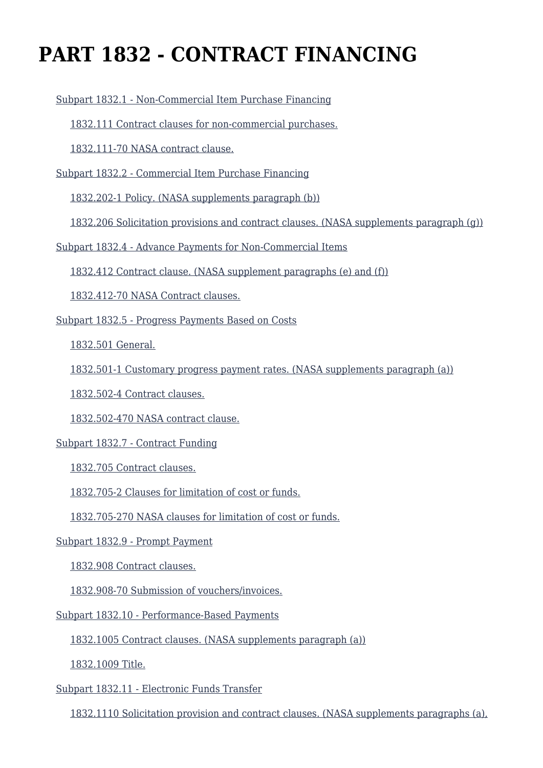# **PART 1832 - CONTRACT FINANCING**

[Subpart 1832.1 - Non-Commercial Item Purchase Financing](https://login.acquisition.gov/%5Brp:link:nfs-part-1832%5D#Subpart_1832_1_T48_60420261)

[1832.111 Contract clauses for non-commercial purchases.](https://login.acquisition.gov/%5Brp:link:nfs-part-1832%5D#Section_1832_111_T48_6042026111)

[1832.111-70 NASA contract clause.](https://login.acquisition.gov/%5Brp:link:nfs-part-1832%5D#Section_1832_111_70_T48_6042026112)

[Subpart 1832.2 - Commercial Item Purchase Financing](https://login.acquisition.gov/%5Brp:link:nfs-part-1832%5D#Subpart_1832_2_T48_60420262)

[1832.202-1 Policy. \(NASA supplements paragraph \(b\)\)](https://login.acquisition.gov/%5Brp:link:nfs-part-1832%5D#Section_1832_202_1_T48_6042026211)

[1832.206 Solicitation provisions and contract clauses. \(NASA supplements paragraph \(g\)\)](https://login.acquisition.gov/%5Brp:link:nfs-part-1832%5D#Section_1832_206_T48_6042026212)

[Subpart 1832.4 - Advance Payments for Non-Commercial Items](https://login.acquisition.gov/%5Brp:link:nfs-part-1832%5D#Subpart_1832_4_T48_60420263)

[1832.412 Contract clause. \(NASA supplement paragraphs \(e\) and \(f\)\)](https://login.acquisition.gov/%5Brp:link:nfs-part-1832%5D#Section_1832_412_T48_6042026311)

[1832.412-70 NASA Contract clauses.](https://login.acquisition.gov/%5Brp:link:nfs-part-1832%5D#Section_1832_412_70_T48_6042026312)

[Subpart 1832.5 - Progress Payments Based on Costs](https://login.acquisition.gov/%5Brp:link:nfs-part-1832%5D#Subpart_1832_5_T48_60420264)

[1832.501 General.](https://login.acquisition.gov/%5Brp:link:nfs-part-1832%5D#Section_1832_501_T48_6042026411)

[1832.501-1 Customary progress payment rates. \(NASA supplements paragraph \(a\)\)](https://login.acquisition.gov/%5Brp:link:nfs-part-1832%5D#Section_1832_501_1_T48_6042026412)

[1832.502-4 Contract clauses.](https://login.acquisition.gov/%5Brp:link:nfs-part-1832%5D#Section_1832_502_4_T48_6042026413)

[1832.502-470 NASA contract clause.](https://login.acquisition.gov/%5Brp:link:nfs-part-1832%5D#Section_1832_502_470_T48_6042026414)

[Subpart 1832.7 - Contract Funding](https://login.acquisition.gov/%5Brp:link:nfs-part-1832%5D#Subpart_1832_7_T48_60420265)

[1832.705 Contract clauses.](https://login.acquisition.gov/%5Brp:link:nfs-part-1832%5D#Section_1832_705_T48_6042026511)

[1832.705-2 Clauses for limitation of cost or funds.](https://login.acquisition.gov/%5Brp:link:nfs-part-1832%5D#Section_1832_705_2_T48_6042026512)

[1832.705-270 NASA clauses for limitation of cost or funds.](https://login.acquisition.gov/%5Brp:link:nfs-part-1832%5D#Section_1832_705_270_T48_6042026513)

[Subpart 1832.9 - Prompt Payment](https://login.acquisition.gov/%5Brp:link:nfs-part-1832%5D#Subpart_1832_9_T48_60420266)

[1832.908 Contract clauses.](https://login.acquisition.gov/%5Brp:link:nfs-part-1832%5D#Section_1832_908_T48_6042026611)

[1832.908-70 Submission of vouchers/invoices.](https://login.acquisition.gov/%5Brp:link:nfs-part-1832%5D#Section_1832_908_70_T48_6042026612)

[Subpart 1832.10 - Performance-Based Payments](https://login.acquisition.gov/%5Brp:link:nfs-part-1832%5D#Subpart_1832_10_T48_60420267)

[1832.1005 Contract clauses. \(NASA supplements paragraph \(a\)\)](https://login.acquisition.gov/%5Brp:link:nfs-part-1832%5D#Section_1832_1005_T48_6042026711)

[1832.1009 Title.](https://login.acquisition.gov/%5Brp:link:nfs-part-1832%5D#Section_1832_1009_T48_6042026712)

[Subpart 1832.11 - Electronic Funds Transfer](https://login.acquisition.gov/%5Brp:link:nfs-part-1832%5D#Subpart_1832_11_T48_60420268)

[1832.1110 Solicitation provision and contract clauses. \(NASA supplements paragraphs \(a\),](https://login.acquisition.gov/%5Brp:link:nfs-part-1832%5D#Section_1832_1110_T48_6042026811)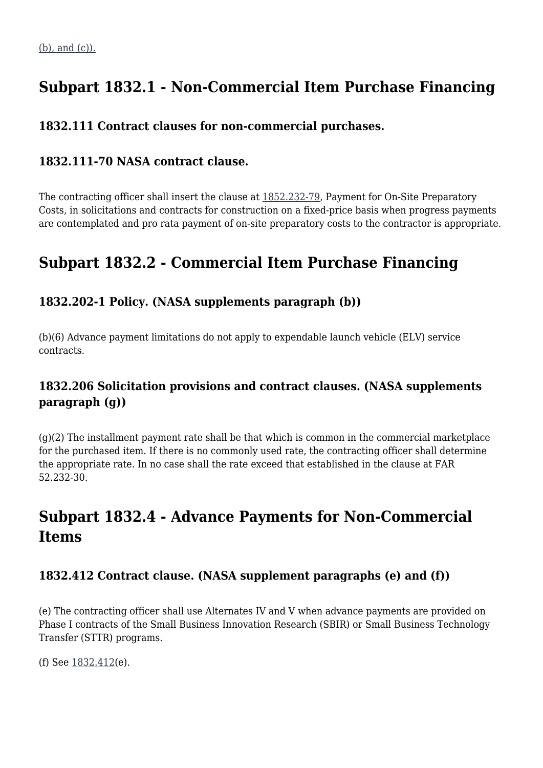# **Subpart 1832.1 - Non-Commercial Item Purchase Financing**

# **1832.111 Contract clauses for non-commercial purchases.**

# **1832.111-70 NASA contract clause.**

The contracting officer shall insert the clause at [1852.232-79,](https://login.acquisition.gov/%5Brp:link:nfs-part-1852%5D#Section_1852_232_79_T48_60423441187) Payment for On-Site Preparatory Costs, in solicitations and contracts for construction on a fixed-price basis when progress payments are contemplated and pro rata payment of on-site preparatory costs to the contractor is appropriate.

# **Subpart 1832.2 - Commercial Item Purchase Financing**

# **1832.202-1 Policy. (NASA supplements paragraph (b))**

(b)(6) Advance payment limitations do not apply to expendable launch vehicle (ELV) service contracts.

# **1832.206 Solicitation provisions and contract clauses. (NASA supplements paragraph (g))**

 $(q)(2)$  The installment payment rate shall be that which is common in the commercial marketplace for the purchased item. If there is no commonly used rate, the contracting officer shall determine the appropriate rate. In no case shall the rate exceed that established in the clause at FAR 52.232-30.

# **Subpart 1832.4 - Advance Payments for Non-Commercial Items**

# **1832.412 Contract clause. (NASA supplement paragraphs (e) and (f))**

(e) The contracting officer shall use Alternates IV and V when advance payments are provided on Phase I contracts of the Small Business Innovation Research (SBIR) or Small Business Technology Transfer (STTR) programs.

(f) See [1832.412\(](https://login.acquisition.gov/%5Brp:link:nfs-part-1832%5D#Section_1832_412_T48_6042026311)e).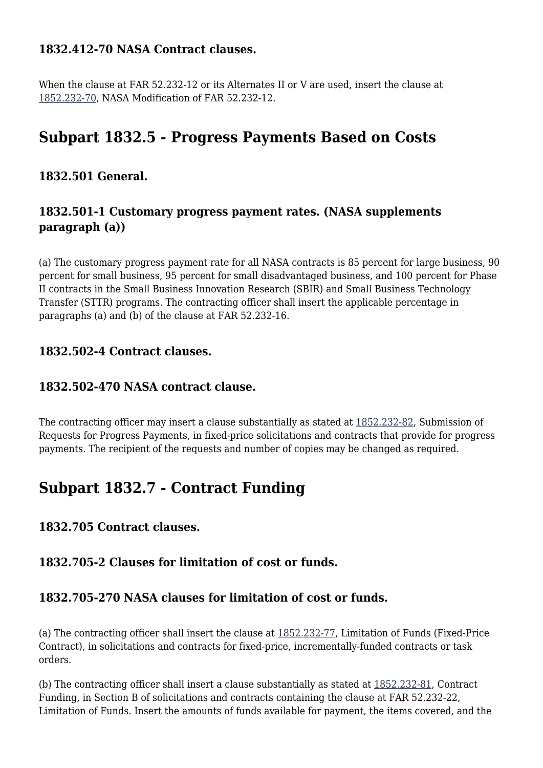#### **1832.412-70 NASA Contract clauses.**

When the clause at FAR 52.232-12 or its Alternates II or V are used, insert the clause at [1852.232-70,](https://login.acquisition.gov/%5Brp:link:nfs-part-1852%5D#Section_1852_232_70_T48_60423441185) NASA Modification of FAR 52.232-12.

# **Subpart 1832.5 - Progress Payments Based on Costs**

# **1832.501 General.**

# **1832.501-1 Customary progress payment rates. (NASA supplements paragraph (a))**

(a) The customary progress payment rate for all NASA contracts is 85 percent for large business, 90 percent for small business, 95 percent for small disadvantaged business, and 100 percent for Phase II contracts in the Small Business Innovation Research (SBIR) and Small Business Technology Transfer (STTR) programs. The contracting officer shall insert the applicable percentage in paragraphs (a) and (b) of the clause at FAR 52.232-16.

#### **1832.502-4 Contract clauses.**

#### **1832.502-470 NASA contract clause.**

The contracting officer may insert a clause substantially as stated at [1852.232-82](https://login.acquisition.gov/%5Brp:link:nfs-part-1852%5D#Section_1852_232_82_T48_60423441190), Submission of Requests for Progress Payments, in fixed-price solicitations and contracts that provide for progress payments. The recipient of the requests and number of copies may be changed as required.

# **Subpart 1832.7 - Contract Funding**

# **1832.705 Contract clauses.**

# **1832.705-2 Clauses for limitation of cost or funds.**

### **1832.705-270 NASA clauses for limitation of cost or funds.**

(a) The contracting officer shall insert the clause at [1852.232-77,](https://login.acquisition.gov/%5Brp:link:nfs-part-1852%5D#Section_1852_232_77_T48_60423441186) Limitation of Funds (Fixed-Price Contract), in solicitations and contracts for fixed-price, incrementally-funded contracts or task orders.

(b) The contracting officer shall insert a clause substantially as stated at [1852.232-81](https://login.acquisition.gov/%5Brp:link:nfs-part-1852%5D#Section_1852_232_81_T48_60423441189), Contract Funding, in Section B of solicitations and contracts containing the clause at FAR 52.232-22, Limitation of Funds. Insert the amounts of funds available for payment, the items covered, and the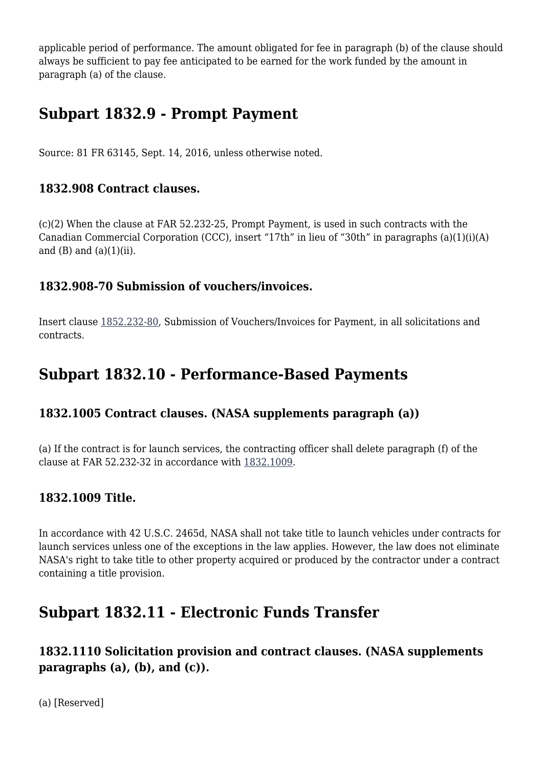applicable period of performance. The amount obligated for fee in paragraph (b) of the clause should always be sufficient to pay fee anticipated to be earned for the work funded by the amount in paragraph (a) of the clause.

# **Subpart 1832.9 - Prompt Payment**

Source: 81 FR 63145, Sept. 14, 2016, unless otherwise noted.

### **1832.908 Contract clauses.**

(c)(2) When the clause at FAR 52.232-25, Prompt Payment, is used in such contracts with the Canadian Commercial Corporation (CCC), insert "17th" in lieu of "30th" in paragraphs (a)(1)(i)(A) and  $(B)$  and  $(a)(1)(ii)$ .

# **1832.908-70 Submission of vouchers/invoices.**

Insert clause [1852.232-80,](https://login.acquisition.gov/%5Brp:link:nfs-part-1852%5D#Section_1852_232_80_T48_60423441188) Submission of Vouchers/Invoices for Payment, in all solicitations and contracts.

# **Subpart 1832.10 - Performance-Based Payments**

# **1832.1005 Contract clauses. (NASA supplements paragraph (a))**

(a) If the contract is for launch services, the contracting officer shall delete paragraph (f) of the clause at FAR 52.232-32 in accordance with [1832.1009](https://login.acquisition.gov/%5Brp:link:nfs-part-1832%5D#Section_1832_1009_T48_6042026712).

# **1832.1009 Title.**

In accordance with 42 U.S.C. 2465d, NASA shall not take title to launch vehicles under contracts for launch services unless one of the exceptions in the law applies. However, the law does not eliminate NASA's right to take title to other property acquired or produced by the contractor under a contract containing a title provision.

# **Subpart 1832.11 - Electronic Funds Transfer**

# **1832.1110 Solicitation provision and contract clauses. (NASA supplements paragraphs (a), (b), and (c)).**

(a) [Reserved]